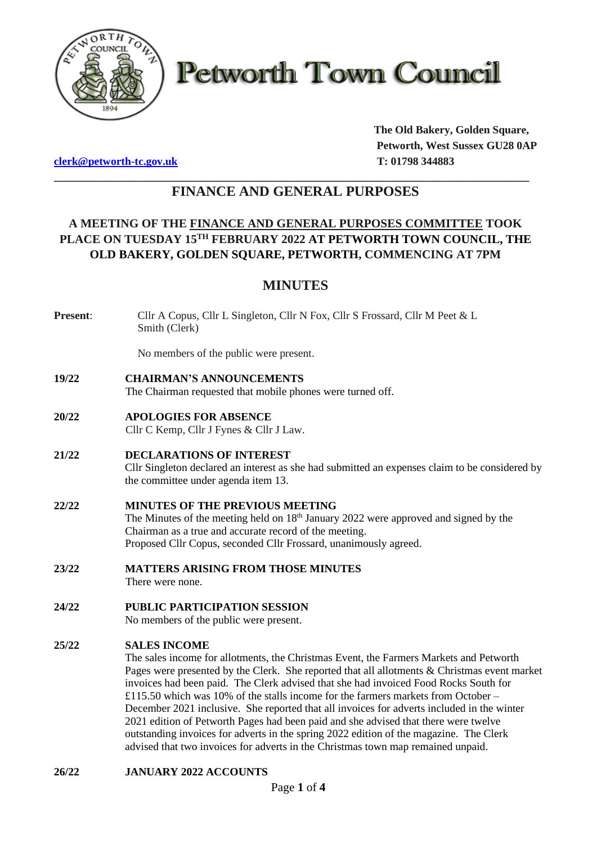

**Petworth Town Council** 

**[clerk@petworth-tc.gov.uk](mailto:clerk@petworth-tc.gov.uk) T: 01798 344883**

**The Old Bakery, Golden Square, Petworth, West Sussex GU28 0AP**

# **\_\_\_\_\_\_\_\_\_\_\_\_\_\_\_\_\_\_\_\_\_\_\_\_\_\_\_\_\_\_\_\_\_\_\_\_\_\_\_\_\_\_\_\_\_\_\_\_\_\_\_\_\_\_\_\_\_\_\_\_\_\_\_\_\_\_\_\_\_\_\_\_\_\_\_\_\_\_\_ FINANCE AND GENERAL PURPOSES**

# **A MEETING OF THE FINANCE AND GENERAL PURPOSES COMMITTEE TOOK PLACE ON TUESDAY 15 TH FEBRUARY 2022 AT PETWORTH TOWN COUNCIL, THE OLD BAKERY, GOLDEN SQUARE, PETWORTH, COMMENCING AT 7PM**

# **MINUTES**

**Present**: Cllr A Copus, Cllr L Singleton, Cllr N Fox, Cllr S Frossard, Cllr M Peet & L Smith (Clerk)

No members of the public were present.

# **19/22 CHAIRMAN'S ANNOUNCEMENTS**

The Chairman requested that mobile phones were turned off.

**20/22 APOLOGIES FOR ABSENCE**

Cllr C Kemp, Cllr J Fynes & Cllr J Law.

# **21/22 DECLARATIONS OF INTEREST**

Cllr Singleton declared an interest as she had submitted an expenses claim to be considered by the committee under agenda item 13.

# **22/22 MINUTES OF THE PREVIOUS MEETING**

The Minutes of the meeting held on  $18<sup>th</sup>$  January 2022 were approved and signed by the Chairman as a true and accurate record of the meeting. Proposed Cllr Copus, seconded Cllr Frossard, unanimously agreed.

# **23/22 MATTERS ARISING FROM THOSE MINUTES**

There were none.

# **24/22 PUBLIC PARTICIPATION SESSION**

No members of the public were present.

# **25/22 SALES INCOME**

The sales income for allotments, the Christmas Event, the Farmers Markets and Petworth Pages were presented by the Clerk. She reported that all allotments & Christmas event market invoices had been paid. The Clerk advised that she had invoiced Food Rocks South for £115.50 which was 10% of the stalls income for the farmers markets from October – December 2021 inclusive. She reported that all invoices for adverts included in the winter 2021 edition of Petworth Pages had been paid and she advised that there were twelve outstanding invoices for adverts in the spring 2022 edition of the magazine. The Clerk advised that two invoices for adverts in the Christmas town map remained unpaid.

# **26/22 JANUARY 2022 ACCOUNTS**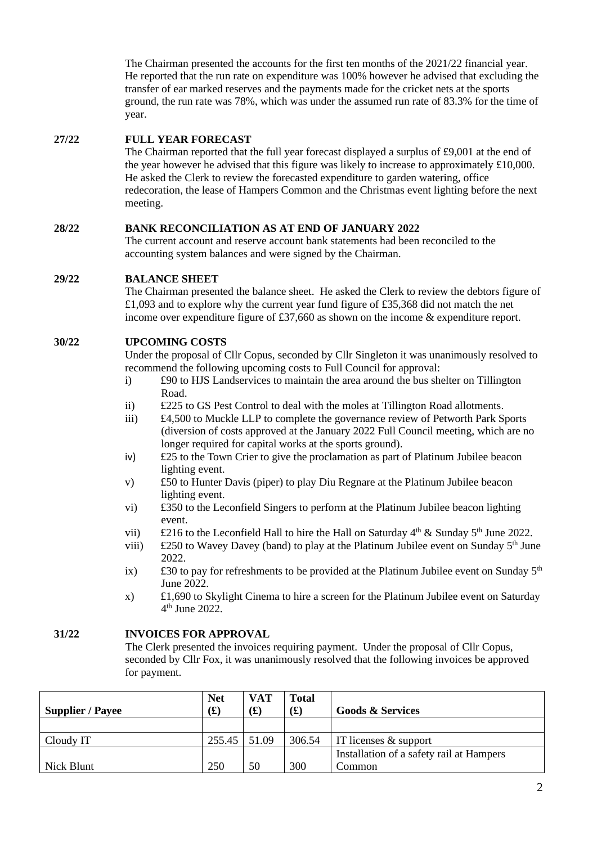The Chairman presented the accounts for the first ten months of the 2021/22 financial year. He reported that the run rate on expenditure was 100% however he advised that excluding the transfer of ear marked reserves and the payments made for the cricket nets at the sports ground, the run rate was 78%, which was under the assumed run rate of 83.3% for the time of year.

### **27/22 FULL YEAR FORECAST**

The Chairman reported that the full year forecast displayed a surplus of £9,001 at the end of the year however he advised that this figure was likely to increase to approximately £10,000. He asked the Clerk to review the forecasted expenditure to garden watering, office redecoration, the lease of Hampers Common and the Christmas event lighting before the next meeting.

#### **28/22 BANK RECONCILIATION AS AT END OF JANUARY 2022**

The current account and reserve account bank statements had been reconciled to the accounting system balances and were signed by the Chairman.

#### **29/22 BALANCE SHEET**

The Chairman presented the balance sheet. He asked the Clerk to review the debtors figure of £1,093 and to explore why the current year fund figure of £35,368 did not match the net income over expenditure figure of £37,660 as shown on the income & expenditure report.

#### **30/22 UPCOMING COSTS**

Under the proposal of Cllr Copus, seconded by Cllr Singleton it was unanimously resolved to recommend the following upcoming costs to Full Council for approval:

- i) £90 to HJS Landservices to maintain the area around the bus shelter on Tillington Road.
- ii) £225 to GS Pest Control to deal with the moles at Tillington Road allotments.
- iii) £4,500 to Muckle LLP to complete the governance review of Petworth Park Sports (diversion of costs approved at the January 2022 Full Council meeting, which are no longer required for capital works at the sports ground).
- iv) £25 to the Town Crier to give the proclamation as part of Platinum Jubilee beacon lighting event.
- v) £50 to Hunter Davis (piper) to play Diu Regnare at the Platinum Jubilee beacon lighting event.
- vi) £350 to the Leconfield Singers to perform at the Platinum Jubilee beacon lighting event.
- vii)  $\pm 216$  to the Leconfield Hall to hire the Hall on Saturday 4<sup>th</sup> & Sunday 5<sup>th</sup> June 2022.
- viii)  $\pm 250$  to Wavey Davey (band) to play at the Platinum Jubilee event on Sunday  $5<sup>th</sup>$  June 2022.
- ix)  $\pm 30$  to pay for refreshments to be provided at the Platinum Jubilee event on Sunday 5<sup>th</sup> June 2022.
- x) £1,690 to Skylight Cinema to hire a screen for the Platinum Jubilee event on Saturday 4 th June 2022.

### **31/22 INVOICES FOR APPROVAL**

The Clerk presented the invoices requiring payment. Under the proposal of Cllr Copus, seconded by Cllr Fox, it was unanimously resolved that the following invoices be approved for payment.

| <b>Supplier / Payee</b> | <b>Net</b><br>f(x) | <b>VAT</b><br>$\mathbf{f}(\mathbf{f})$ | <b>Total</b><br>$\mathbf{f}(\mathbf{f})$ | <b>Goods &amp; Services</b>              |
|-------------------------|--------------------|----------------------------------------|------------------------------------------|------------------------------------------|
|                         |                    |                                        |                                          |                                          |
| Cloudy IT               | 255.45             | 51.09                                  | 306.54                                   | IT licenses $\&$ support                 |
|                         |                    |                                        |                                          | Installation of a safety rail at Hampers |
| Nick Blunt              | 250                | 50                                     | 300                                      | Common                                   |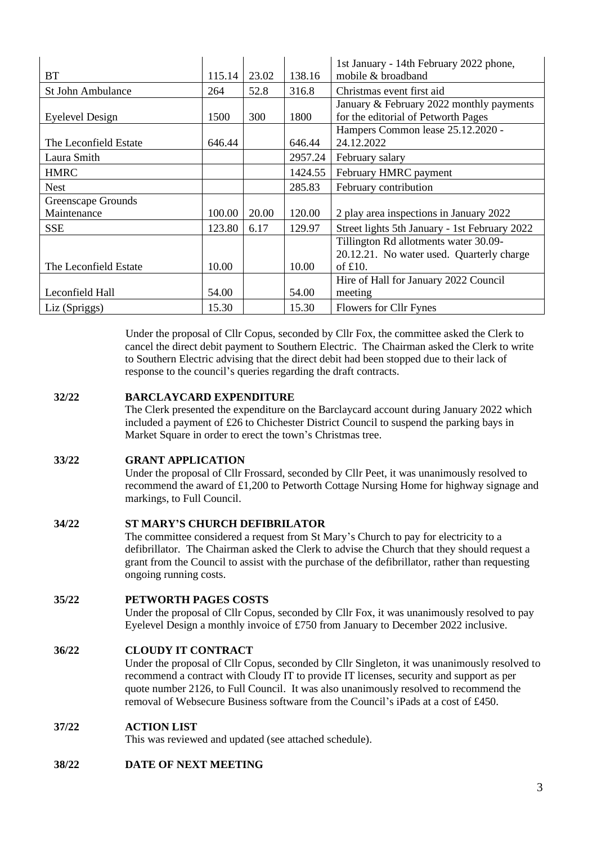|                          |        |       |         | 1st January - 14th February 2022 phone,       |
|--------------------------|--------|-------|---------|-----------------------------------------------|
| <b>BT</b>                | 115.14 | 23.02 | 138.16  | mobile & broadband                            |
| <b>St John Ambulance</b> | 264    | 52.8  | 316.8   | Christmas event first aid                     |
|                          |        |       |         | January & February 2022 monthly payments      |
| Eyelevel Design          | 1500   | 300   | 1800    | for the editorial of Petworth Pages           |
|                          |        |       |         | Hampers Common lease 25.12.2020 -             |
| The Leconfield Estate    | 646.44 |       | 646.44  | 24.12.2022                                    |
| Laura Smith              |        |       | 2957.24 | February salary                               |
| <b>HMRC</b>              |        |       | 1424.55 | February HMRC payment                         |
| <b>Nest</b>              |        |       | 285.83  | February contribution                         |
| Greenscape Grounds       |        |       |         |                                               |
| Maintenance              | 100.00 | 20.00 | 120.00  | 2 play area inspections in January 2022       |
| <b>SSE</b>               | 123.80 | 6.17  | 129.97  | Street lights 5th January - 1st February 2022 |
|                          |        |       |         | Tillington Rd allotments water 30.09-         |
|                          |        |       |         | 20.12.21. No water used. Quarterly charge     |
| The Leconfield Estate    | 10.00  |       | 10.00   | of $£10$ .                                    |
|                          |        |       |         | Hire of Hall for January 2022 Council         |
| Leconfield Hall          | 54.00  |       | 54.00   | meeting                                       |
| Liz (Spriggs)            | 15.30  |       | 15.30   | Flowers for Cllr Fynes                        |

Under the proposal of Cllr Copus, seconded by Cllr Fox, the committee asked the Clerk to cancel the direct debit payment to Southern Electric. The Chairman asked the Clerk to write to Southern Electric advising that the direct debit had been stopped due to their lack of response to the council's queries regarding the draft contracts.

#### **32/22 BARCLAYCARD EXPENDITURE**

The Clerk presented the expenditure on the Barclaycard account during January 2022 which included a payment of £26 to Chichester District Council to suspend the parking bays in Market Square in order to erect the town's Christmas tree.

#### **33/22 GRANT APPLICATION**

Under the proposal of Cllr Frossard, seconded by Cllr Peet, it was unanimously resolved to recommend the award of £1,200 to Petworth Cottage Nursing Home for highway signage and markings, to Full Council.

#### **34/22 ST MARY'S CHURCH DEFIBRILATOR**

The committee considered a request from St Mary's Church to pay for electricity to a defibrillator. The Chairman asked the Clerk to advise the Church that they should request a grant from the Council to assist with the purchase of the defibrillator, rather than requesting ongoing running costs.

#### **35/22 PETWORTH PAGES COSTS**

Under the proposal of Cllr Copus, seconded by Cllr Fox, it was unanimously resolved to pay Eyelevel Design a monthly invoice of £750 from January to December 2022 inclusive.

#### **36/22 CLOUDY IT CONTRACT**

Under the proposal of Cllr Copus, seconded by Cllr Singleton, it was unanimously resolved to recommend a contract with Cloudy IT to provide IT licenses, security and support as per quote number 2126, to Full Council. It was also unanimously resolved to recommend the removal of Websecure Business software from the Council's iPads at a cost of £450.

#### **37/22 ACTION LIST**

This was reviewed and updated (see attached schedule).

# **38/22 DATE OF NEXT MEETING**